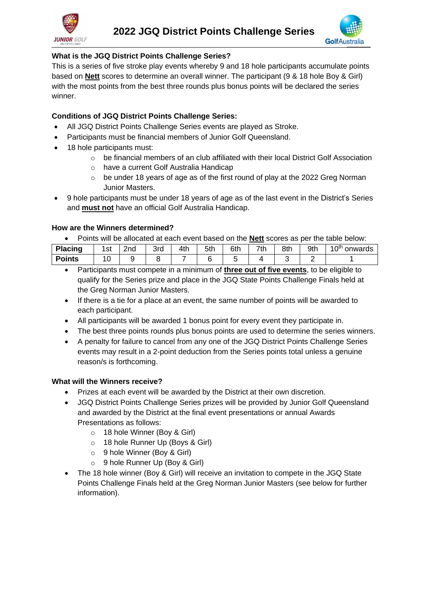



# **What is the JGQ District Points Challenge Series?**

This is a series of five stroke play events whereby 9 and 18 hole participants accumulate points based on **Nett** scores to determine an overall winner. The participant (9 & 18 hole Boy & Girl) with the most points from the best three rounds plus bonus points will be declared the series winner.

# **Conditions of JGQ District Points Challenge Series:**

- All JGQ District Points Challenge Series events are played as Stroke.
- Participants must be financial members of Junior Golf Queensland.
- 18 hole participants must:
	- $\circ$  be financial members of an club affiliated with their local District Golf Association
	- o have a current Golf Australia Handicap
	- $\circ$  be under 18 years of age as of the first round of play at the 2022 Greg Norman Junior Masters.
- 9 hole participants must be under 18 years of age as of the last event in the District's Series and **must not** have an official Golf Australia Handicap.

#### **How are the Winners determined?**

• Points will be allocated at each event based on the **Nett** scores as per the table below:

| <b>Placing</b> | r of<br>ত৷  | 2nd | 3rd | 4th | 5th | 6th | 7th | 8th | 9th | 1 ∩th<br>onwards<br>u |
|----------------|-------------|-----|-----|-----|-----|-----|-----|-----|-----|-----------------------|
| <b>Points</b>  | $\sim$<br>ັ |     |     |     |     |     |     |     |     |                       |

- Participants must compete in a minimum of **three out of five events**, to be eligible to qualify for the Series prize and place in the JGQ State Points Challenge Finals held at the Greg Norman Junior Masters.
- If there is a tie for a place at an event, the same number of points will be awarded to each participant.
- All participants will be awarded 1 bonus point for every event they participate in.
- The best three points rounds plus bonus points are used to determine the series winners.
- A penalty for failure to cancel from any one of the JGQ District Points Challenge Series events may result in a 2-point deduction from the Series points total unless a genuine reason/s is forthcoming.

## **What will the Winners receive?**

- Prizes at each event will be awarded by the District at their own discretion.
- JGQ District Points Challenge Series prizes will be provided by Junior Golf Queensland and awarded by the District at the final event presentations or annual Awards Presentations as follows:
	- o 18 hole Winner (Boy & Girl)
	- o 18 hole Runner Up (Boys & Girl)
	- o 9 hole Winner (Boy & Girl)
	- o 9 hole Runner Up (Boy & Girl)
- The 18 hole winner (Boy & Girl) will receive an invitation to compete in the JGQ State Points Challenge Finals held at the Greg Norman Junior Masters (see below for further information).